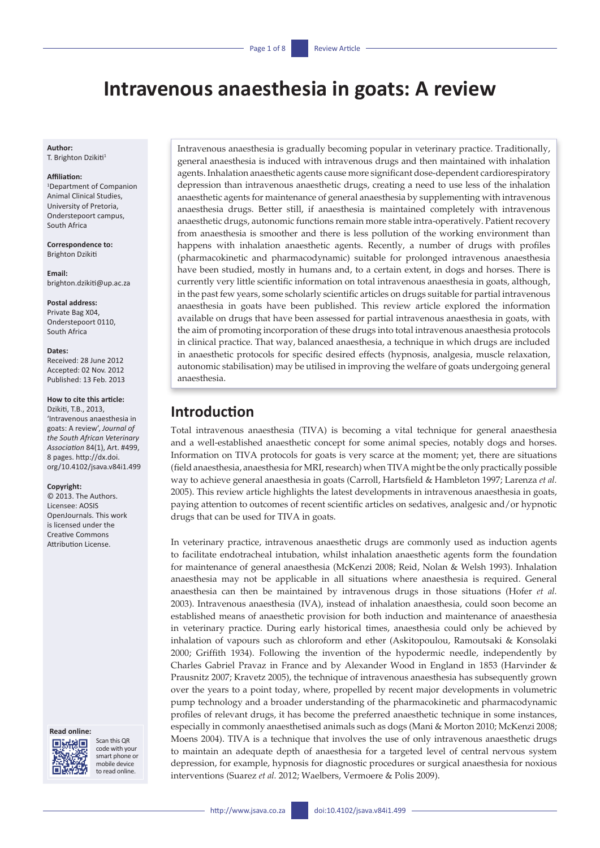# **Intravenous anaesthesia in goats: A review**

**Author:** T. Brighton Dzikiti<sup>1</sup>

#### **Affiliation:**

1 Department of Companion Animal Clinical Studies, University of Pretoria, Onderstepoort campus, South Africa

**Correspondence to:** Brighton Dzikiti

**Email:** [brighton.dzikiti@up.ac.za](mailto:brighton.dzikiti@up.ac.za)

**Postal address:** Private Bag X04,

Onderstepoort 0110, South Africa

#### **Dates:**

Received: 28 June 2012 Accepted: 02 Nov. 2012 Published: 13 Feb. 2013

#### **How to cite this article:**

Dzikiti, T.B., 2013, 'Intravenous anaesthesia in goats: A review', *Journal of the South African Veterinary Association* 84(1), Art. #499, 8 pages. [http://dx.doi.](http://dx.doi.org/10.4102/jsava.v84i1.499) [org/10.4102/jsava.v84i1.499](http://dx.doi.org/10.4102/jsava.v84i1.499)

#### **Copyright:**

© 2013. The Authors. Licensee: AOSIS OpenJournals. This work is licensed under the Creative Commons Attribution License.

#### **Read online:**



Scan this QR code with your smart phone or mobile device to read online.

Intravenous anaesthesia is gradually becoming popular in veterinary practice. Traditionally, general anaesthesia is induced with intravenous drugs and then maintained with inhalation agents. Inhalation anaesthetic agents cause more significant dose-dependent cardiorespiratory depression than intravenous anaesthetic drugs, creating a need to use less of the inhalation anaesthetic agents for maintenance of general anaesthesia by supplementing with intravenous anaesthesia drugs. Better still, if anaesthesia is maintained completely with intravenous anaesthetic drugs, autonomic functions remain more stable intra-operatively. Patient recovery from anaesthesia is smoother and there is less pollution of the working environment than happens with inhalation anaesthetic agents. Recently, a number of drugs with profiles (pharmacokinetic and pharmacodynamic) suitable for prolonged intravenous anaesthesia have been studied, mostly in humans and, to a certain extent, in dogs and horses. There is currently very little scientific information on total intravenous anaesthesia in goats, although, in the past few years, some scholarly scientific articles on drugs suitable for partial intravenous anaesthesia in goats have been published. This review article explored the information available on drugs that have been assessed for partial intravenous anaesthesia in goats, with the aim of promoting incorporation of these drugs into total intravenous anaesthesia protocols in clinical practice. That way, balanced anaesthesia, a technique in which drugs are included in anaesthetic protocols for specific desired effects (hypnosis, analgesia, muscle relaxation, autonomic stabilisation) may be utilised in improving the welfare of goats undergoing general anaesthesia.

## **Introduction**

Total intravenous anaesthesia (TIVA) is becoming a vital technique for general anaesthesia and a well-established anaesthetic concept for some animal species, notably dogs and horses. Information on TIVA protocols for goats is very scarce at the moment; yet, there are situations (field anaesthesia, anaesthesia for MRI, research) when TIVA might be the only practically possible way to achieve general anaesthesia in goats (Carroll, Hartsfield & Hambleton 1997; Larenza *et al.* 2005). This review article highlights the latest developments in intravenous anaesthesia in goats, paying attention to outcomes of recent scientific articles on sedatives, analgesic and/or hypnotic drugs that can be used for TIVA in goats.

In veterinary practice, intravenous anaesthetic drugs are commonly used as induction agents to facilitate endotracheal intubation, whilst inhalation anaesthetic agents form the foundation for maintenance of general anaesthesia (McKenzi 2008; Reid, Nolan & Welsh 1993). Inhalation anaesthesia may not be applicable in all situations where anaesthesia is required. General anaesthesia can then be maintained by intravenous drugs in those situations (Hofer *et al.* 2003). Intravenous anaesthesia (IVA), instead of inhalation anaesthesia, could soon become an established means of anaesthetic provision for both induction and maintenance of anaesthesia in veterinary practice. During early historical times, anaesthesia could only be achieved by inhalation of vapours such as chloroform and ether (Askitopoulou, Ramoutsaki & Konsolaki 2000; Griffith 1934). Following the invention of the hypodermic needle, independently by Charles Gabriel Pravaz in France and by Alexander Wood in England in 1853 (Harvinder & Prausnitz 2007; Kravetz 2005), the technique of intravenous anaesthesia has subsequently grown over the years to a point today, where, propelled by recent major developments in volumetric pump technology and a broader understanding of the pharmacokinetic and pharmacodynamic profiles of relevant drugs, it has become the preferred anaesthetic technique in some instances, especially in commonly anaesthetised animals such as dogs (Mani & Morton 2010; McKenzi 2008; Moens 2004). TIVA is a technique that involves the use of only intravenous anaesthetic drugs to maintain an adequate depth of anaesthesia for a targeted level of central nervous system depression, for example, hypnosis for diagnostic procedures or surgical anaesthesia for noxious interventions (Suarez *et al.* 2012; Waelbers, Vermoere & Polis 2009).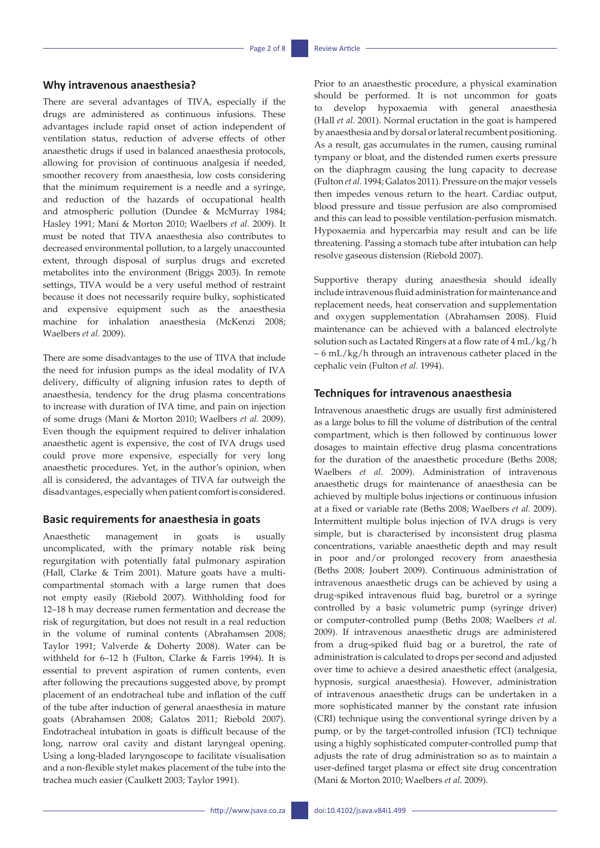### **Why intravenous anaesthesia?**

There are several advantages of TIVA, especially if the drugs are administered as continuous infusions. These advantages include rapid onset of action independent of ventilation status, reduction of adverse effects of other anaesthetic drugs if used in balanced anaesthesia protocols, allowing for provision of continuous analgesia if needed, smoother recovery from anaesthesia, low costs considering that the minimum requirement is a needle and a syringe, and reduction of the hazards of occupational health and atmospheric pollution (Dundee & McMurray 1984; Hasley 1991; Mani & Morton 2010; Waelbers *et al.* 2009). It must be noted that TIVA anaesthesia also contributes to decreased environmental pollution, to a largely unaccounted extent, through disposal of surplus drugs and excreted metabolites into the environment (Briggs 2003). In remote settings, TIVA would be a very useful method of restraint because it does not necessarily require bulky, sophisticated and expensive equipment such as the anaesthesia machine for inhalation anaesthesia (McKenzi 2008; Waelbers *et al.* 2009).

There are some disadvantages to the use of TIVA that include the need for infusion pumps as the ideal modality of IVA delivery, difficulty of aligning infusion rates to depth of anaesthesia, tendency for the drug plasma concentrations to increase with duration of IVA time, and pain on injection of some drugs (Mani & Morton 2010; Waelbers *et al.* 2009). Even though the equipment required to deliver inhalation anaesthetic agent is expensive, the cost of IVA drugs used could prove more expensive, especially for very long anaesthetic procedures. Yet, in the author's opinion, when all is considered, the advantages of TIVA far outweigh the disadvantages, especially when patient comfort is considered.

### **Basic requirements for anaesthesia in goats**

Anaesthetic management in goats is usually uncomplicated, with the primary notable risk being regurgitation with potentially fatal pulmonary aspiration (Hall, Clarke & Trim 2001). Mature goats have a multicompartmental stomach with a large rumen that does not empty easily (Riebold 2007). Withholding food for 12–18 h may decrease rumen fermentation and decrease the risk of regurgitation, but does not result in a real reduction in the volume of ruminal contents (Abrahamsen 2008; Taylor 1991; Valverde & Doherty 2008). Water can be withheld for 6–12 h (Fulton, Clarke & Farris 1994). It is essential to prevent aspiration of rumen contents, even after following the precautions suggested above, by prompt placement of an endotracheal tube and inflation of the cuff of the tube after induction of general anaesthesia in mature goats (Abrahamsen 2008; Galatos 2011; Riebold 2007). Endotracheal intubation in goats is difficult because of the long, narrow oral cavity and distant laryngeal opening. Using a long-bladed laryngoscope to facilitate visualisation and a non-flexible stylet makes placement of the tube into the trachea much easier (Caulkett 2003; Taylor 1991).

Prior to an anaesthestic procedure, a physical examination should be performed. It is not uncommon for goats to develop hypoxaemia with general anaesthesia (Hall *et al.* 2001). Normal eructation in the goat is hampered by anaesthesia and by dorsal or lateral recumbent positioning. As a result, gas accumulates in the rumen, causing ruminal tympany or bloat, and the distended rumen exerts pressure on the diaphragm causing the lung capacity to decrease (Fulton *et al.* 1994; Galatos 2011). Pressure on the major vessels then impedes venous return to the heart. Cardiac output, blood pressure and tissue perfusion are also compromised and this can lead to possible ventilation-perfusion mismatch. Hypoxaemia and hypercarbia may result and can be life threatening. Passing a stomach tube after intubation can help resolve gaseous distension (Riebold 2007).

Supportive therapy during anaesthesia should ideally include intravenous fluid administration for maintenance and replacement needs, heat conservation and supplementation and oxygen supplementation (Abrahamsen 2008). Fluid maintenance can be achieved with a balanced electrolyte solution such as Lactated Ringers at a flow rate of 4 mL/kg/h – 6 mL/kg/h through an intravenous catheter placed in the cephalic vein (Fulton *et al.* 1994).

## **Techniques for intravenous anaesthesia**

Intravenous anaesthetic drugs are usually first administered as a large bolus to fill the volume of distribution of the central compartment, which is then followed by continuous lower dosages to maintain effective drug plasma concentrations for the duration of the anaesthetic procedure (Beths 2008; Waelbers *et al*. 2009). Administration of intravenous anaesthetic drugs for maintenance of anaesthesia can be achieved by multiple bolus injections or continuous infusion at a fixed or variable rate (Beths 2008; Waelbers *et al.* 2009). Intermittent multiple bolus injection of IVA drugs is very simple, but is characterised by inconsistent drug plasma concentrations, variable anaesthetic depth and may result in poor and/or prolonged recovery from anaesthesia (Beths 2008; Joubert 2009). Continuous administration of intravenous anaesthetic drugs can be achieved by using a drug-spiked intravenous fluid bag, buretrol or a syringe controlled by a basic volumetric pump (syringe driver) or computer-controlled pump (Beths 2008; Waelbers *et al.* 2009). If intravenous anaesthetic drugs are administered from a drug-spiked fluid bag or a buretrol, the rate of administration is calculated to drops per second and adjusted over time to achieve a desired anaesthetic effect (analgesia, hypnosis, surgical anaesthesia). However, administration of intravenous anaesthetic drugs can be undertaken in a more sophisticated manner by the constant rate infusion (CRI) technique using the conventional syringe driven by a pump, or by the target-controlled infusion (TCI) technique using a highly sophisticated computer-controlled pump that adjusts the rate of drug administration so as to maintain a user-defined target plasma or effect site drug concentration (Mani & Morton 2010; Waelbers *et al.* 2009).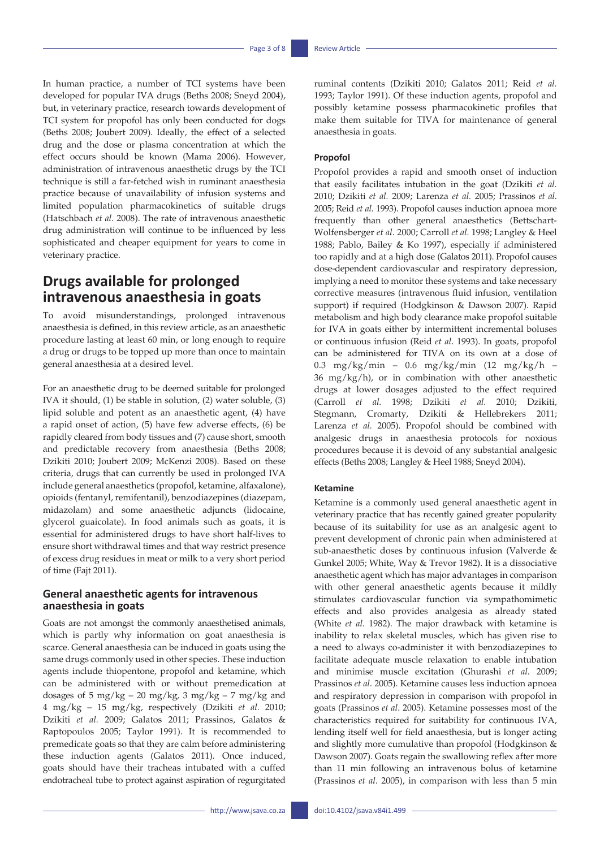In human practice, a number of TCI systems have been developed for popular IVA drugs (Beths 2008; Sneyd 2004), but, in veterinary practice, research towards development of TCI system for propofol has only been conducted for dogs (Beths 2008; Joubert 2009). Ideally, the effect of a selected drug and the dose or plasma concentration at which the effect occurs should be known (Mama 2006). However, administration of intravenous anaesthetic drugs by the TCI technique is still a far-fetched wish in ruminant anaesthesia practice because of unavailability of infusion systems and limited population pharmacokinetics of suitable drugs (Hatschbach *et al.* 2008). The rate of intravenous anaesthetic drug administration will continue to be influenced by less sophisticated and cheaper equipment for years to come in veterinary practice.

## **Drugs available for prolonged intravenous anaesthesia in goats**

To avoid misunderstandings, prolonged intravenous anaesthesia is defined, in this review article, as an anaesthetic procedure lasting at least 60 min, or long enough to require a drug or drugs to be topped up more than once to maintain general anaesthesia at a desired level.

For an anaesthetic drug to be deemed suitable for prolonged IVA it should, (1) be stable in solution, (2) water soluble, (3) lipid soluble and potent as an anaesthetic agent, (4) have a rapid onset of action, (5) have few adverse effects, (6) be rapidly cleared from body tissues and (7) cause short, smooth and predictable recovery from anaesthesia (Beths 2008; Dzikiti 2010; Joubert 2009; McKenzi 2008). Based on these criteria, drugs that can currently be used in prolonged IVA include general anaesthetics (propofol, ketamine, alfaxalone), opioids (fentanyl, remifentanil), benzodiazepines (diazepam, midazolam) and some anaesthetic adjuncts (lidocaine, glycerol guaicolate). In food animals such as goats, it is essential for administered drugs to have short half-lives to ensure short withdrawal times and that way restrict presence of excess drug residues in meat or milk to a very short period of time (Fajt 2011).

## **General anaesthetic agents for intravenous anaesthesia in goats**

Goats are not amongst the commonly anaesthetised animals, which is partly why information on goat anaesthesia is scarce. General anaesthesia can be induced in goats using the same drugs commonly used in other species. These induction agents include thiopentone, propofol and ketamine, which can be administered with or without premedication at dosages of  $5 \text{ mg/kg} - 20 \text{ mg/kg}$ ,  $3 \text{ mg/kg} - 7 \text{ mg/kg}$  and 4 mg/kg – 15 mg/kg, respectively (Dzikiti *et al.* 2010; Dzikiti *et al.* 2009; Galatos 2011; Prassinos, Galatos & Raptopoulos 2005; Taylor 1991). It is recommended to premedicate goats so that they are calm before administering these induction agents (Galatos 2011). Once induced, goats should have their tracheas intubated with a cuffed endotracheal tube to protect against aspiration of regurgitated

ruminal contents (Dzikiti 2010; Galatos 2011; Reid *et al.* 1993; Taylor 1991). Of these induction agents, propofol and possibly ketamine possess pharmacokinetic profiles that make them suitable for TIVA for maintenance of general anaesthesia in goats.

### **Propofol**

Propofol provides a rapid and smooth onset of induction that easily facilitates intubation in the goat (Dzikiti *et al.* 2010; Dzikiti *et al.* 2009; Larenza *et al.* 2005; Prassinos *et al*. 2005; Reid *et al.* 1993). Propofol causes induction apnoea more frequently than other general anaesthetics (Bettschart-Wolfensberger *et al.* 2000; Carroll *et al.* 1998; Langley & Heel 1988; Pablo, Bailey & Ko 1997), especially if administered too rapidly and at a high dose (Galatos 2011). Propofol causes dose-dependent cardiovascular and respiratory depression, implying a need to monitor these systems and take necessary corrective measures (intravenous fluid infusion, ventilation support) if required (Hodgkinson & Dawson 2007). Rapid metabolism and high body clearance make propofol suitable for IVA in goats either by intermittent incremental boluses or continuous infusion (Reid *et al*. 1993). In goats, propofol can be administered for TIVA on its own at a dose of 0.3 mg/kg/min – 0.6 mg/kg/min (12 mg/kg/h – 36 mg/kg/h), or in combination with other anaesthetic drugs at lower dosages adjusted to the effect required (Carroll *et al.* 1998; Dzikiti *et al.* 2010; Dzikiti, Stegmann, Cromarty, Dzikiti & Hellebrekers 2011; Larenza *et al.* 2005). Propofol should be combined with analgesic drugs in anaesthesia protocols for noxious procedures because it is devoid of any substantial analgesic effects (Beths 2008; Langley & Heel 1988; Sneyd 2004).

#### **Ketamine**

Ketamine is a commonly used general anaesthetic agent in veterinary practice that has recently gained greater popularity because of its suitability for use as an analgesic agent to prevent development of chronic pain when administered at sub-anaesthetic doses by continuous infusion (Valverde & Gunkel 2005; White, Way & Trevor 1982). It is a dissociative anaesthetic agent which has major advantages in comparison with other general anaesthetic agents because it mildly stimulates cardiovascular function via sympathomimetic effects and also provides analgesia as already stated (White *et al.* 1982). The major drawback with ketamine is inability to relax skeletal muscles, which has given rise to a need to always co-administer it with benzodiazepines to facilitate adequate muscle relaxation to enable intubation and minimise muscle excitation (Ghurashi *et al.* 2009; Prassinos *et al*. 2005). Ketamine causes less induction apnoea and respiratory depression in comparison with propofol in goats (Prassinos *et al*. 2005). Ketamine possesses most of the characteristics required for suitability for continuous IVA, lending itself well for field anaesthesia, but is longer acting and slightly more cumulative than propofol (Hodgkinson & Dawson 2007). Goats regain the swallowing reflex after more than 11 min following an intravenous bolus of ketamine (Prassinos *et al*. 2005), in comparison with less than 5 min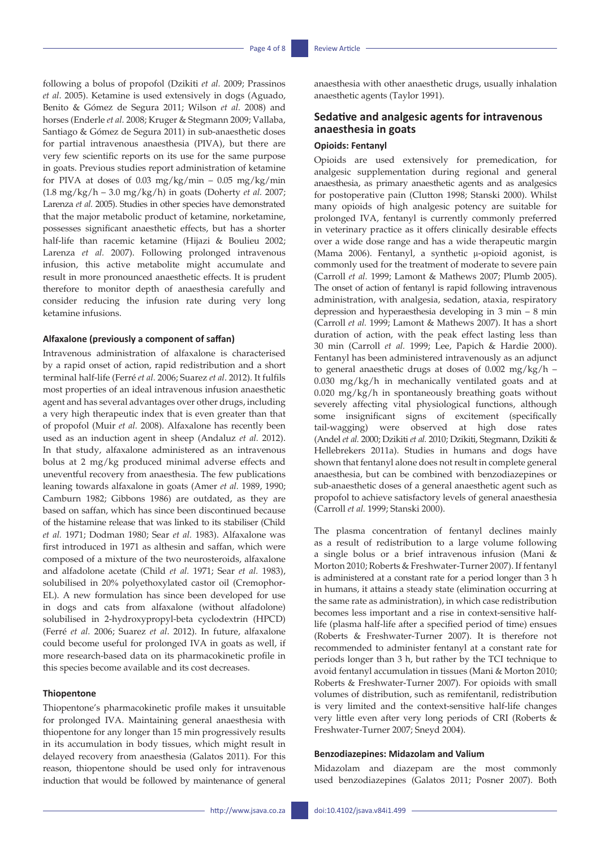following a bolus of propofol (Dzikiti *et al.* 2009; Prassinos *et al*. 2005). Ketamine is used extensively in dogs (Aguado, Benito & Gómez de Segura 2011; Wilson *et al.* 2008) and horses (Enderle *et al.* 2008; Kruger & Stegmann 2009; Vallaba, Santiago & Gómez de Segura 2011) in sub-anaesthetic doses for partial intravenous anaesthesia (PIVA), but there are very few scientific reports on its use for the same purpose in goats. Previous studies report administration of ketamine for PIVA at doses of  $0.03 \text{ mg/kg/min} - 0.05 \text{ mg/kg/min}$ (1.8 mg/kg/h – 3.0 mg/kg/h) in goats (Doherty *et al.* 2007; Larenza *et al.* 2005). Studies in other species have demonstrated that the major metabolic product of ketamine, norketamine, possesses significant anaesthetic effects, but has a shorter half-life than racemic ketamine (Hijazi & Boulieu 2002; Larenza *et al.* 2007). Following prolonged intravenous infusion, this active metabolite might accumulate and result in more pronounced anaesthetic effects. It is prudent therefore to monitor depth of anaesthesia carefully and consider reducing the infusion rate during very long ketamine infusions.

### **Alfaxalone (previously a component of saffan)**

Intravenous administration of alfaxalone is characterised by a rapid onset of action, rapid redistribution and a short terminal half-life (Ferré *et al.* 2006; Suarez *et al*. 2012). It fulfils most properties of an ideal intravenous infusion anaesthetic agent and has several advantages over other drugs, including a very high therapeutic index that is even greater than that of propofol (Muir *et al.* 2008). Alfaxalone has recently been used as an induction agent in sheep (Andaluz *et al.* 2012). In that study, alfaxalone administered as an intravenous bolus at 2 mg/kg produced minimal adverse effects and uneventful recovery from anaesthesia. The few publications leaning towards alfaxalone in goats (Amer *et al.* 1989, 1990; Camburn 1982; Gibbons 1986) are outdated, as they are based on saffan, which has since been discontinued because of the histamine release that was linked to its stabiliser (Child *et al.* 1971; Dodman 1980; Sear *et al.* 1983). Alfaxalone was first introduced in 1971 as althesin and saffan, which were composed of a mixture of the two neurosteroids, alfaxalone and alfadolone acetate (Child *et al.* 1971; Sear *et al.* 1983), solubilised in 20% polyethoxylated castor oil (Cremophor-EL). A new formulation has since been developed for use in dogs and cats from alfaxalone (without alfadolone) solubilised in 2-hydroxypropyl-beta cyclodextrin (HPCD) (Ferré *et al.* 2006; Suarez *et al*. 2012). In future, alfaxalone could become useful for prolonged IVA in goats as well, if more research-based data on its pharmacokinetic profile in this species become available and its cost decreases.

#### **Thiopentone**

Thiopentone's pharmacokinetic profile makes it unsuitable for prolonged IVA. Maintaining general anaesthesia with thiopentone for any longer than 15 min progressively results in its accumulation in body tissues, which might result in delayed recovery from anaesthesia (Galatos 2011). For this reason, thiopentone should be used only for intravenous induction that would be followed by maintenance of general

anaesthesia with other anaesthetic drugs, usually inhalation anaesthetic agents (Taylor 1991).

## **Sedative and analgesic agents for intravenous anaesthesia in goats**

### **Opioids: Fentanyl**

Opioids are used extensively for premedication, for analgesic supplementation during regional and general anaesthesia, as primary anaesthetic agents and as analgesics for postoperative pain (Clutton 1998; Stanski 2000). Whilst many opioids of high analgesic potency are suitable for prolonged IVA, fentanyl is currently commonly preferred in veterinary practice as it offers clinically desirable effects over a wide dose range and has a wide therapeutic margin (Mama 2006). Fentanyl, a synthetic μ-opioid agonist, is commonly used for the treatment of moderate to severe pain (Carroll *et al.* 1999; Lamont & Mathews 2007; Plumb 2005). The onset of action of fentanyl is rapid following intravenous administration, with analgesia, sedation, ataxia, respiratory depression and hyperaesthesia developing in 3 min – 8 min (Carroll *et al.* 1999; Lamont & Mathews 2007). It has a short duration of action, with the peak effect lasting less than 30 min (Carroll *et al.* 1999; Lee, Papich & Hardie 2000). Fentanyl has been administered intravenously as an adjunct to general anaesthetic drugs at doses of  $0.002$  mg/kg/h – 0.030 mg/kg/h in mechanically ventilated goats and at 0.020 mg/kg/h in spontaneously breathing goats without severely affecting vital physiological functions, although some insignificant signs of excitement (specifically tail-wagging) were observed at high dose rates (Andel *et al.* 2000; Dzikiti *et al.* 2010; Dzikiti, Stegmann, Dzikiti & Hellebrekers 2011a). Studies in humans and dogs have shown that fentanyl alone does not result in complete general anaesthesia, but can be combined with benzodiazepines or sub-anaesthetic doses of a general anaesthetic agent such as propofol to achieve satisfactory levels of general anaesthesia (Carroll *et al.* 1999; Stanski 2000).

The plasma concentration of fentanyl declines mainly as a result of redistribution to a large volume following a single bolus or a brief intravenous infusion (Mani & Morton 2010; Roberts & Freshwater-Turner 2007). If fentanyl is administered at a constant rate for a period longer than 3 h in humans, it attains a steady state (elimination occurring at the same rate as administration), in which case redistribution becomes less important and a rise in context-sensitive halflife (plasma half-life after a specified period of time) ensues (Roberts & Freshwater-Turner 2007). It is therefore not recommended to administer fentanyl at a constant rate for periods longer than 3 h, but rather by the TCI technique to avoid fentanyl accumulation in tissues (Mani & Morton 2010; Roberts & Freshwater-Turner 2007). For opioids with small volumes of distribution, such as remifentanil, redistribution is very limited and the context-sensitive half-life changes very little even after very long periods of CRI (Roberts & Freshwater-Turner 2007; Sneyd 2004).

### **Benzodiazepines: Midazolam and Valium**

Midazolam and diazepam are the most commonly used benzodiazepines (Galatos 2011; Posner 2007). Both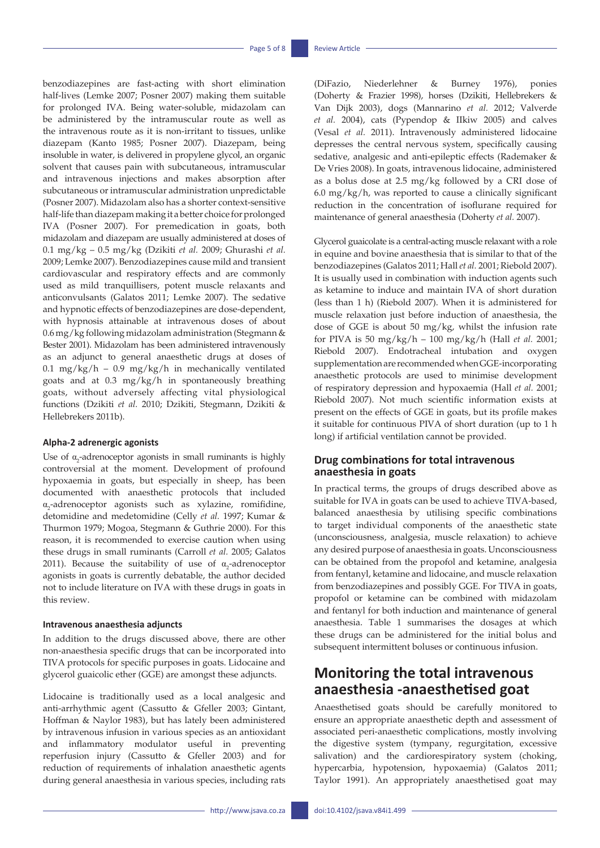benzodiazepines are fast-acting with short elimination half-lives (Lemke 2007; Posner 2007) making them suitable for prolonged IVA. Being water-soluble, midazolam can be administered by the intramuscular route as well as the intravenous route as it is non-irritant to tissues, unlike diazepam (Kanto 1985; Posner 2007). Diazepam, being insoluble in water, is delivered in propylene glycol, an organic solvent that causes pain with subcutaneous, intramuscular and intravenous injections and makes absorption after subcutaneous or intramuscular administration unpredictable (Posner 2007). Midazolam also has a shorter context-sensitive half-life than diazepam making it a better choice for prolonged IVA (Posner 2007). For premedication in goats, both midazolam and diazepam are usually administered at doses of 0.1 mg/kg – 0.5 mg/kg (Dzikiti *et al.* 2009; Ghurashi *et al.* 2009; Lemke 2007). Benzodiazepines cause mild and transient cardiovascular and respiratory effects and are commonly used as mild tranquillisers, potent muscle relaxants and anticonvulsants (Galatos 2011; Lemke 2007). The sedative and hypnotic effects of benzodiazepines are dose-dependent, with hypnosis attainable at intravenous doses of about 0.6 mg/kg following midazolam administration (Stegmann & Bester 2001). Midazolam has been administered intravenously as an adjunct to general anaesthetic drugs at doses of 0.1 mg/kg/h – 0.9 mg/kg/h in mechanically ventilated goats and at 0.3 mg/kg/h in spontaneously breathing goats, without adversely affecting vital physiological functions (Dzikiti *et al.* 2010; Dzikiti, Stegmann, Dzikiti & Hellebrekers 2011b).

#### **Alpha-2 adrenergic agonists**

Use of  $\alpha$ <sub>2</sub>-adrenoceptor agonists in small ruminants is highly controversial at the moment. Development of profound hypoxaemia in goats, but especially in sheep, has been documented with anaesthetic protocols that included α<sub>2</sub>-adrenoceptor agonists such as xylazine, romifidine, detomidine and medetomidine (Celly *et al.* 1997; Kumar & Thurmon 1979; Mogoa, Stegmann & Guthrie 2000). For this reason, it is recommended to exercise caution when using these drugs in small ruminants (Carroll *et al.* 2005; Galatos 2011). Because the suitability of use of  $\alpha$ <sub>2</sub>-adrenoceptor agonists in goats is currently debatable, the author decided not to include literature on IVA with these drugs in goats in this review.

### **Intravenous anaesthesia adjuncts**

In addition to the drugs discussed above, there are other non-anaesthesia specific drugs that can be incorporated into TIVA protocols for specific purposes in goats. Lidocaine and glycerol guaicolic ether (GGE) are amongst these adjuncts.

Lidocaine is traditionally used as a local analgesic and anti-arrhythmic agent (Cassutto & Gfeller 2003; Gintant, Hoffman & Naylor 1983), but has lately been administered by intravenous infusion in various species as an antioxidant and inflammatory modulator useful in preventing reperfusion injury (Cassutto & Gfeller 2003) and for reduction of requirements of inhalation anaesthetic agents during general anaesthesia in various species, including rats

(DiFazio, Niederlehner & Burney 1976), ponies (Doherty & Frazier 1998), horses (Dzikiti, Hellebrekers & Van Dijk 2003), dogs (Mannarino *et al.* 2012; Valverde *et al.* 2004), cats (Pypendop & IIkiw 2005) and calves (Vesal *et al.* 2011). Intravenously administered lidocaine depresses the central nervous system, specifically causing sedative, analgesic and anti-epileptic effects (Rademaker & De Vries 2008). In goats, intravenous lidocaine, administered as a bolus dose at 2.5 mg/kg followed by a CRI dose of 6.0 mg/kg/h, was reported to cause a clinically significant reduction in the concentration of isoflurane required for maintenance of general anaesthesia (Doherty *et al.* 2007).

Glycerol guaicolate is a central-acting muscle relaxant with a role in equine and bovine anaesthesia that is similar to that of the benzodiazepines (Galatos 2011; Hall *et al.* 2001; Riebold 2007). It is usually used in combination with induction agents such as ketamine to induce and maintain IVA of short duration (less than 1 h) (Riebold 2007). When it is administered for muscle relaxation just before induction of anaesthesia, the dose of GGE is about 50 mg/kg, whilst the infusion rate for PIVA is 50 mg/kg/h – 100 mg/kg/h (Hall *et al.* 2001; Riebold 2007). Endotracheal intubation and oxygen supplementation are recommended when GGE-incorporating anaesthetic protocols are used to minimise development of respiratory depression and hypoxaemia (Hall *et al.* 2001; Riebold 2007). Not much scientific information exists at present on the effects of GGE in goats, but its profile makes it suitable for continuous PIVA of short duration (up to 1 h long) if artificial ventilation cannot be provided.

## **Drug combinations for total intravenous anaesthesia in goats**

In practical terms, the groups of drugs described above as suitable for IVA in goats can be used to achieve TIVA-based, balanced anaesthesia by utilising specific combinations to target individual components of the anaesthetic state (unconsciousness, analgesia, muscle relaxation) to achieve any desired purpose of anaesthesia in goats. Unconsciousness can be obtained from the propofol and ketamine, analgesia from fentanyl, ketamine and lidocaine, and muscle relaxation from benzodiazepines and possibly GGE. For TIVA in goats, propofol or ketamine can be combined with midazolam and fentanyl for both induction and maintenance of general anaesthesia. Table 1 summarises the dosages at which these drugs can be administered for the initial bolus and subsequent intermittent boluses or continuous infusion.

## **Monitoring the total intravenous anaesthesia -anaesthetised goat**

Anaesthetised goats should be carefully monitored to ensure an appropriate anaesthetic depth and assessment of associated peri-anaesthetic complications, mostly involving the digestive system (tympany, regurgitation, excessive salivation) and the cardiorespiratory system (choking, hypercarbia, hypotension, hypoxaemia) (Galatos 2011; Taylor 1991). An appropriately anaesthetised goat may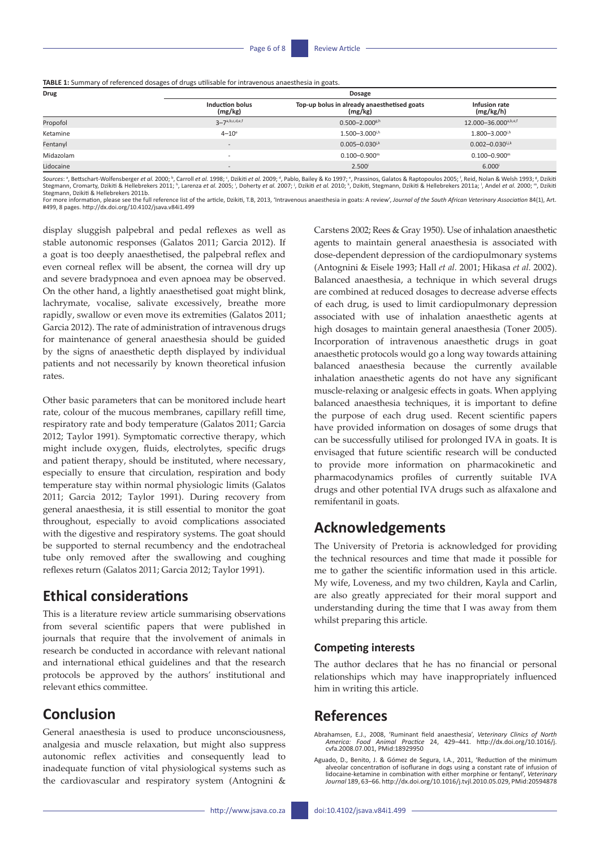**TABLE 1:** Summary of referenced dosages of drugs utilisable for intravenous anaesthesia in goats.

| Drug      | <b>Dosage</b>                     |                                                        |                              |
|-----------|-----------------------------------|--------------------------------------------------------|------------------------------|
|           | <b>Induction bolus</b><br>(mg/kg) | Top-up bolus in already anaesthetised goats<br>(mg/kg) | Infusion rate<br>(mg/kg/h)   |
| Propofol  | $3 - 7a,b,c,d,e,f$                | $0.500 - 2.000$ <sup>g,h</sup>                         | 12.000-36.000a,b,e,f         |
| Ketamine  | $4 - 10^e$                        | $1.500 - 3.000$ <sup>i,h</sup>                         | $1.800 - 3.000^{i, h}$       |
| Fentanyl  | $\overline{\phantom{a}}$          | $0.005 - 0.030^{j,k}$                                  | $0.002 - 0.030^{l,j,k}$      |
| Midazolam | $\overline{\phantom{a}}$          | $0.100 - 0.900$ <sup>m</sup>                           | $0.100 - 0.900$ <sup>m</sup> |
| Lidocaine | $\overline{\phantom{a}}$          | 2.500 <sup>i</sup>                                     | $6.000^{i}$                  |

Sources: ª, Bettschart-Wolfensberger *et al.* 2000; ʰ, Carroll *et al.* 1998; ʿ, Dzikiti *et al. 2009; ʰ, Pablo, Bailey & Ko 1997; º, Prassinos, Galatos & Raptopoulos 2005; ʿ, Reid, Nolan & Welsh 1993; 『, Dzikiti<br>Stegmann,* Stegmann, Dzikiti & Hellebrekers 2011b.

For more information, please see the full reference list of the article, Dzikiti, T.B, 2013, 'Intravenous anaesthesia in goats: A review', Journal of the South African Veterinary Association 84(1), Art.<br>#499, 8 pages. http

display sluggish palpebral and pedal reflexes as well as stable autonomic responses (Galatos 2011; Garcia 2012). If a goat is too deeply anaesthetised, the palpebral reflex and even corneal reflex will be absent, the cornea will dry up and severe bradypnoea and even apnoea may be observed. On the other hand, a lightly anaesthetised goat might blink, lachrymate, vocalise, salivate excessively, breathe more rapidly, swallow or even move its extremities (Galatos 2011; Garcia 2012). The rate of administration of intravenous drugs for maintenance of general anaesthesia should be guided by the signs of anaesthetic depth displayed by individual patients and not necessarily by known theoretical infusion rates.

Other basic parameters that can be monitored include heart rate, colour of the mucous membranes, capillary refill time, respiratory rate and body temperature (Galatos 2011; Garcia 2012; Taylor 1991). Symptomatic corrective therapy, which might include oxygen, fluids, electrolytes, specific drugs and patient therapy, should be instituted, where necessary, especially to ensure that circulation, respiration and body temperature stay within normal physiologic limits (Galatos 2011; Garcia 2012; Taylor 1991). During recovery from general anaesthesia, it is still essential to monitor the goat throughout, especially to avoid complications associated with the digestive and respiratory systems. The goat should be supported to sternal recumbency and the endotracheal tube only removed after the swallowing and coughing reflexes return (Galatos 2011; Garcia 2012; Taylor 1991).

## **Ethical considerations**

This is a literature review article summarising observations from several scientific papers that were published in journals that require that the involvement of animals in research be conducted in accordance with relevant national and international ethical guidelines and that the research protocols be approved by the authors' institutional and relevant ethics committee.

## **Conclusion**

General anaesthesia is used to produce unconsciousness, analgesia and muscle relaxation, but might also suppress autonomic reflex activities and consequently lead to inadequate function of vital physiological systems such as the cardiovascular and respiratory system (Antognini &

agents to maintain general anaesthesia is associated with dose-dependent depression of the cardiopulmonary systems (Antognini & Eisele 1993; Hall *et al.* 2001; Hikasa *et al.* 2002). Balanced anaesthesia, a technique in which several drugs are combined at reduced dosages to decrease adverse effects of each drug, is used to limit cardiopulmonary depression associated with use of inhalation anaesthetic agents at high dosages to maintain general anaesthesia (Toner 2005). Incorporation of intravenous anaesthetic drugs in goat anaesthetic protocols would go a long way towards attaining balanced anaesthesia because the currently available inhalation anaesthetic agents do not have any significant muscle-relaxing or analgesic effects in goats. When applying balanced anaesthesia techniques, it is important to define the purpose of each drug used. Recent scientific papers have provided information on dosages of some drugs that can be successfully utilised for prolonged IVA in goats. It is envisaged that future scientific research will be conducted to provide more information on pharmacokinetic and pharmacodynamics profiles of currently suitable IVA drugs and other potential IVA drugs such as alfaxalone and remifentanil in goats.

Carstens 2002; Rees & Gray 1950). Use of inhalation anaesthetic

## **Acknowledgements**

The University of Pretoria is acknowledged for providing the technical resources and time that made it possible for me to gather the scientific information used in this article. My wife, Loveness, and my two children, Kayla and Carlin, are also greatly appreciated for their moral support and understanding during the time that I was away from them whilst preparing this article.

## **Competing interests**

The author declares that he has no financial or personal relationships which may have inappropriately influenced him in writing this article.

## **References**

- Abrahamsen, E.J., 2008, 'Ruminant field anaesthesia', *Veterinary Clinics of North America: Food Animal Practice* 24, 429–441. [http://dx.doi.org/10.1016/j.](http://dx.doi.org/10.1016/j.cvfa.2008.07.001) [cvfa.2008.07.001,](http://dx.doi.org/10.1016/j.cvfa.2008.07.001) PMid:18929950
- Aguado, D., Benito, J. & Gómez de Segura, I.A., 2011, 'Reduction of the minimum alveolar concentration of isoflurane in dogs using a constant rate of infusion of lidocaine-ketamine in combination with either morphine or fentanyl', *Veterinary Journal* 189, 63–66. [http://dx.doi.org/10.1016/j.tvjl.2010.05.029,](http://dx.doi.org/10.1016/j.tvjl.2010.05.029) PMid:20594878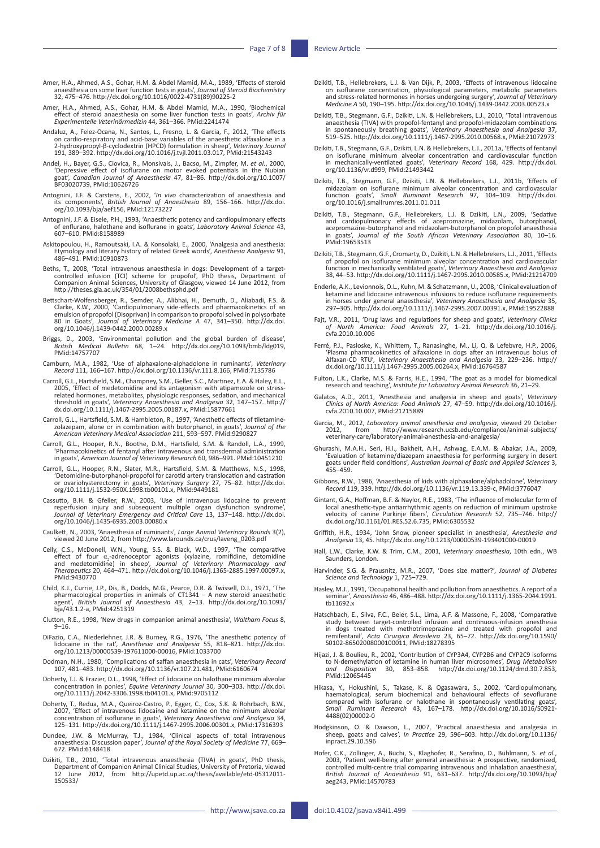- Amer, H.A., Ahmed, A.S., Gohar, H.M. & Abdel Mamid, M.A., 1989, 'Effects of steroid anaesthesia on some liver function tests in goats', *Journal of Steroid Biochemistry* 32, 475–476. [http://dx.doi.org/10.1016/0022-4731\(89\)90225-2](http://dx.doi.org/10.1016/0022-4731(89)90225-2)
- Amer, H.A., Ahmed, A.S., Gohar, H.M. & Abdel Mamid, M.A., 1990, 'Biochemical effect of steroid anaesthesia on some liver function tests in goats', *Archiv für Experimentelle Veterinärmedizin* 44, 361–366. PMid:2241474
- Andaluz, A., Felez-Ocana, N., Santos, L., Fresno, L. & Garcia, F., 2012, 'The effects on cardio-respiratory and acid-base variables of the anaesthetic alfaxalone in a 2-hydroxypropyl-β-cyclodextrin (HPCD) formulation in sheep', *Veterinary Journal* 191, 389–392. [http://dx.doi.org/10.1016/j.tvjl.2011.03.017,](http://dx.doi.org/10.1016/j.tvjl.2011.03.017) PMid:21543243
- Andel, H., Bayer, G.S., Ciovica, R., Monsivais, J., Bacso, M., Zimpfer, M. *et al.*, 2000, 'Depressive effect of isoflurane on motor evoked potentials in the Nubian goat', *Canadian Journal of Anaesthesia* 47, 81–86. [http://dx.doi.org/10.1007/](http://dx.doi.org/10.1007/BF03020739) [BF03020739](http://dx.doi.org/10.1007/BF03020739), PMid:10626726
- Antognini, J.F. & Carstens, E., 2002, '*In vivo* characterization of anaesthesia and its components', *British Journal of Anaesthesia* 89, 156–166. [http://dx.doi.](http://dx.doi.org/10.1093/bja/aef156) [org/10.1093/bja/aef156,](http://dx.doi.org/10.1093/bja/aef156) PMid:12173227
- Antognini, J.F. & Eisele, P.H., 1993, 'Anaesthetic potency and cardiopulmonary effects of enflurane, halothane and isoflurane in goats', *Laboratory Animal Science* 43, 607–610. PMid:8158989
- Askitopoulou, H., Ramoutsaki, I.A. & Konsolaki, E., 2000, 'Analgesia and anesthesia: Etymology and literary history of related Greek words', *Anesthesia Analgesia* 91, 486–491. PMid:10910873
- Beths, T., 2008, 'Total intravenous anaesthesia in dogs: Development of a target-<br>controlled infusion (TCI) scheme for propofol', PhD thesis, Department of<br>Companion Animal Sciences, University of Glasgow, viewed 14 June 2 <http://theses.gla.ac.uk/354/01/2008bethsphd.pdf>
- Bettschart-Wolfensberger, R., Semder, A., Alibhai, H., Demuth, D., Aliabadi, F.S. & Clarke, K.W., 2000, 'Cardiopulmonary side-effects and pharmacokinetics of an emulsion of propofol (Disoprivan) in comparison to propofol s
- Briggs, D., 2003, 'Environmental pollution and the global burden of disease', *British Medical Bulletin* 68, 1–24. [http://dx.doi.org/10.1093/bmb/ldg019,](http://dx.doi.org/10.1093/bmb/ldg019) PMid:14757707
- Camburn, M.A., 1982, 'Use of alphaxalone-alphadolone in ruminants', *Veterinary Record* 111, 166–167.<http://dx.doi.org/10.1136/vr.111.8.166>, PMid:7135786
- Carroll, G.L., Hartsfield, S.M., Champney, S.M., Geller, S.C., Martinez, E.A. & Haley, E.L., 2005, 'Effect of medetomidine and its antagonism with atipamezole on stress-related hormones, metabolites, physiologic responses, [dx.doi.org/10.1111/j.1467-2995.2005.00187.x](http://dx.doi.org/10.1111/j.1467-2995.2005.00187.x), PMid:15877661
- Carroll, G.L., Hartsfield, S.M. & Hambleton, R., 1997, 'Anesthetic effects of tiletamine-zolazepam, alone or in combination with butorphanol, in goats', *Journal of the American Veterinary Medical Association* 211, 593–597. PMid:9290827
- Carroll, G.L., Hooper, R.N., Boothe, D.M., Hartsfield, S.M. & Randoll, L.A., 1999, 'Pharmacokinetics of fentanyl after intravenous and transdermal administration in goats', *American Journal of Veterinary Research* 60, 986–991. PMid:10451210
- Carroll, G.L., Hooper, R.N., Slater, M.R., Hartsfield, S.M. & Matthews, N.S., 1998,<br>
'Detomidine-butorphanol-propofol for carotid artery translocation and castration<br>
or ovariohysterectomy in goats', Veterinary Surgery 27,
- Cassutto, B.H. & Gfeller, R.W., 2003, 'Use of intravenous lidocaine to prevent reperfusion injury and subsequent multiple organ dysfunction syndrome', *Journal of Veterinary Emergency and Critical Care* 13, 137–148. [http://dx.doi.](http://dx.doi.org/10.1046/j.1435-6935.2003.00080.x) [org/10.1046/j.1435-6935.2003.00080.x](http://dx.doi.org/10.1046/j.1435-6935.2003.00080.x)
- Caulkett, N., 2003, 'Anaesthesia of ruminants', *Large Animal Veterinary Rounds* 3(2), viewed 20 June 2012, from [http://www.larounds.ca/crus/laveng\\_0203.pdf](http://www.larounds.ca/crus/laveng_0203.pdf)
- Celly, C.S., McDonell, W.N., Young, S.S. & Black, W.D., 1997, 'The comparative<br>effect of four a<sub>x</sub>-adrenoceptor agonists (xylazine, romifidine, detomidine<br>and medetomidine) in sheep', Journal of Veterinary Pharmacology and *Therapeutics* 20, 464–471. [http://dx.doi.org/10.1046/j.1365-2885.1997.00097.x,](http://dx.doi.org/10.1046/j.1365-2885.1997.00097.x) PMid:9430770
- Child, K.J., Currie, J.P., Dis, B., Dodds, M.G., Pearce, D.R. & Twissell, D.J., 1971, 'The<br>pharmacological properties in animals of CT1341 A new steroid anaesthetic<br>agent', *British Journal of Anaesthesia* 43, 2-13. http [bja/43.1.2-a](http://dx.doi.org/10.1093/bja/43.1.2-a), PMid:4251319
- Clutton, R.E., 1998, 'New drugs in companion animal anesthesia', *Waltham Focus* 8,  $9 - 16$ .
- DiFazio, C.A., Niederlehner, J.R. & Burney, R.G., 1976, 'The anesthetic potency of lidocaine in the rat', *Anesthesia and Analgesia* 55, 818–821. h[ttp://dx.doi.](http://dx.doi.org/10.1213/00000539-197611000-00016) [org/10.1213/00000539-197611000-00016,](http://dx.doi.org/10.1213/00000539-197611000-00016) PMid:1033700
- Dodman, N.H., 1980, 'Complications of saffan anaesthesia in cats', *Veterinary Record* 107, 481–483. h[ttp://dx.doi.org/10.1136/vr.107.21.481,](http://dx.doi.org/10.1136/vr.107.21.481) PMid:6160674
- Doherty, T.J. & Frazier, D.L., 1998, 'Effect of lidocaine on halothane minimum alveolar concentration in ponies', *Equine Veterinary Journal* 30, 300–303. h[ttp://dx.doi.](http://dx.doi.org/10.1111/j.2042-3306.1998.tb04101.x) [org/10.1111/j.2042-3306.1998.tb04101.x,](http://dx.doi.org/10.1111/j.2042-3306.1998.tb04101.x) PMid:9705112
- Doherty, T., Redua, M.A., Queiroz-Castro, P., Egger, C., Cox, S.K. & Rohrbach, B.W., 2007, 'Effect of intravenous lidocaine and ketamine on the minimum alveolar<br>concentration of isoflurane in goats', *Veterinary Anaesthesia and Analgesia* 34,<br>125–131. h[ttp://dx.doi.org/10.1111/j.1467-2995.2006.00301.x,](http://dx.doi.org/10.1111/j.1467-2995.2006.00301.x) PMi
- Dundee, J.W. & McMurray, T.J., 1984, 'Clinical aspects of total intravenous anaesthesia: Discussion paper', *Journal of the Royal Society of Medicine* 77, 669– 672. PMid:6148418
- , Dzikiti, T.B., 2010, 'Total intravenous anaesthesia (TIVA) in goats', PhD thesis,<br>Department of Companion Animal Clinical Studies, University of Pretoria, viewed<br>-12 June 2012, from http://upetd.up.ac.za/thesis/available [150533/](http://upetd.up.ac.za/thesis/available/etd-05312011-150533/)
- Dzikiti, T.B., Hellebrekers, L.J. & Van Dijk, P., 2003, 'Effects of intravenous lidocaine<br>on isoflurane concentration, physiological parameters, metabolic parameters<br>and stress-related hormones in horses undergoing surgery
- Dzikiti, T.B., Stegmann, G.F., Dzikiti, L.N. & Hellebrekers, L.J., 2010, 'Total intravenous anaesthesia (TIVA) with propofol-fentanyl and propofol-midazolam combinations<br>in spontaneously breathing goats′, Veterinary Anaesthesia and Analgesia 37,<br>519–525. http://dx.doi.org/10.1111/j.1467-2995.2010.00568.x, PMid:
- Dzikiti, T.B., Stegmann, G.F., Dzikiti, L.N. & Hellebrekers, L.J., 2011a, 'Effects of fentanyl<br>on isoflurane minimum alveolar concentration and cardiovascular function<br>in mechanically-ventilated goats', Veterinary Record 1 [org/10.1136/vr.d999,](http://dx.doi.org/10.1136/vr.d999) PMid:21493442
- Dzikiti, T.B., Stegmann, G.F., Dzikiti, L.N. & Hellebrekers, L.J., 2011b, 'Effects of midazolam on isoflurane minimum alveolar concentration and cardiovascular function goats', *Small Ruminant Research* 97, 104–109. [http://dx.doi.](http://dx.doi.org/10.1016/j.smallrumres.2011.01.011) [org/10.1016/j.smallrumres.2011.01.011](http://dx.doi.org/10.1016/j.smallrumres.2011.01.011)
- Dzikiti, T.B., Stegmann, G.F., Hellebrekers, L.J. & Dzikiti, L.N., 2009, 'Sedative<br>and cardiopulmonary effects of acepromazine, midazolam, butorphanol<br>acepromazine-butorphanoland midazolam-butorphanolon propofolanaesthesia in goats', *Journal of the South African Veterinary Association* 80, 10–16. PMid:19653513
- Dzikiti, T.B., Stegmann, G.F., Cromarty, D., Dzikiti, L.N. & Hellebrekers, L.J., 2011, 'Effects of propofol on isoflurane minimum alveolar concentration and cardiovascular function in mechanically ventilated goats', *Veterinary Anaesthesia and Analgesia* 38, 44–53. h[ttp://dx.doi.org/10.1111/j.1467-2995.2010.00585.x,](http://dx.doi.org/10.1111/j.1467-2995.2010.00585.x) PMid:21214709
- Enderle, A.K., Levionnois, O.L., Kuhn, M. & Schatzmann, U., 2008, 'Clinical evaluation of ketamine and lidocaine intravenous infusions to reduce isoflurane requirements in horses under general anaesthesia', *Veterinary Anaesthesia and Analgesia* 35, 297–305. h[ttp://dx.doi.org/10.1111/j.1467-2995.2007.00391.x,](http://dx.doi.org/10.1111/j.1467-2995.2007.00391.x) PMid:19522888
- Fajt, V.R., 2011, 'Drug laws and regulations for sheep and goats', *Veterinary Clinics of North America: Food Animals* 27, 1–21. h[ttp://dx.doi.org/10.1016/j.](http://dx.doi.org/10.1016/j.cvfa.2010.10.006) [cvfa.2010.10.006](http://dx.doi.org/10.1016/j.cvfa.2010.10.006)
- Ferré, P.J., Pasloske, K., Whittem, T., Ranasinghe, M., Li, Q. & Lefebvre, H.P., 2006,<br>Plasma pharmacokinetics of alfaxalone in dogs after an intravenous bolus of<br>//Alfaxan-CD RTU', *Veterinary Anaesthesia and Analgesia* 3 [dx.doi.org/10.1111/j.1467-2995.2005.00264.x,](http://dx.doi.org/10.1111/j.1467-2995.2005.00264.x) PMid:16764587
- Fulton, L.K., Clarke, M.S. & Farris, H.E., 1994, 'The goat as a model for biomedical research and teaching', *Institute for Laboratory Animal Research* 36, 21–29.
- Galatos, A.D., 2011, 'Anesthesia and analgesia in sheep and goats', *Veterinary Clinics of North America: Food Animals* 27, 47–59. h[ttp://dx.doi.org/10.1016/j.](http://dx.doi.org/10.1016/j.cvfa.2010.10.007) [cvfa.2010.10.007,](http://dx.doi.org/10.1016/j.cvfa.2010.10.007) PMid:21215889
- Garcia, M., 2012, *Laboratory animal anesthesia and analgesia*, viewed 29 October 2012, from [http://www.research.ucsb.edu/compliance/animal-subjects/](http://www.research.ucsb.edu/compliance/animal-subjects/veterinary-care/laboratory-animal-anesthesia-and-analgesia/) [veterinary-care/laboratory-animal-anesthesia-and-analgesia/](http://www.research.ucsb.edu/compliance/animal-subjects/veterinary-care/laboratory-animal-anesthesia-and-analgesia/)
- Ghurashi, M.A.H., Seri, H.I., Bakheit, A.H., Ashwag, E.A.M. & Abakar, J.A., 2009, 'Evaluation of ketamine/diazepam anaesthesia for performing surgery in desert goats under field conditions', *Australian Journal of Basic and Applied Sciences* 3, 455–459.
- Gibbons, R.W., 1986, 'Anaesthesia of kids with alphaxalone/alphadolone', *Veterinary Record* 119, 339. h[ttp://dx.doi.org/10.1136/vr.119.13.339-c,](http://dx.doi.org/10.1136/vr.119.13.339-c) PMid:3776047
- Gintant, G.A., Hoffman, B.F. & Naylor, R.E., 1983, 'The influence of molecular form of local anesthetic-type antiarrhythmic agents on reduction of minimum upstroke velocity of canine Purkinje fibers', *Circulation Research* 52, 735–746. [http://](http://dx.doi.org/10.1161/01.RES.52.6.735) [dx.doi.org/10.1161/01.RES.52.6.735,](http://dx.doi.org/10.1161/01.RES.52.6.735) PMid:6305532
- Griffith, H.R., 1934, 'John Snow, pioneer specialist in anesthesia', *Anesthesia and Analgesia* 13, 45. <http://dx.doi.org/10.1213/00000539-193401000-00019>
- Hall, L.W., Clarke, K.W. & Trim, C.M., 2001, *Veterinary anaesthesia*, 10th edn., WB Saunders, London.
- Harvinder, S.G. & Prausnitz, M.R., 2007, 'Does size matter?', *Journal of Diabetes Science and Technology* 1, 725–729.
- Hasley, M.J., 1991, 'Occupational health and pollution from anaesthetics. A report of a seminar', *Anaesthesia* 46, 486–488. [http://dx.doi.org/10.1111/j.1365-2044.1991.](http://dx.doi.org/10.1111/j.1365-2044.1991.tb11692.x) [tb11692.x](http://dx.doi.org/10.1111/j.1365-2044.1991.tb11692.x)
- Hatschbach, E., Silva, F.C., Beier, S.L., Lima, A.F. & Massone, F., 2008, 'Comparative study between target-controlled infusion and continuous-infusion anesthesia in dogs treated with methotrimeprazine and treated with propofol and remifentanil', *Acta Cirurgica Brasileira* 23, 65–72. [http://dx.doi.org/10.1590/](http://dx.doi.org/10.1590/S0102-86502008000100011) [S0102-86502008000100011,](http://dx.doi.org/10.1590/S0102-86502008000100011) PMid:18278395
- Hijazi, J. & Boulieu, R., 2002, 'Contribution of CYP3A4, CYP2B6 and CYP2C9 isoforms to N-demethylation of ketamine in human liver microsomes', *Drug Metabolism*<br>*and Disposition* 30, 853–858. http://dx.doi.org/10.1124/dmd.30.7.853,<br>PMid:12065445
- Hikasa, Y., Hokushini, S., Takase, K. & Ogasawara, S., 2002, 'Cardiopulmonary,<br>haematological, serum biochemical and behavioural effects of sevoflurane<br>,compared with isofurane or halothane in spontaneously ventilating goa *Small Ruminant Research* 43, 167–178. h[ttp://dx.doi.org/10.1016/S0921-](http://dx.doi.org/10.1016/S0921-4488(02)00002-0) [4488\(02\)00002-0](http://dx.doi.org/10.1016/S0921-4488(02)00002-0)
- Hodgkinson, O. & Dawson, L., 2007, 'Practical anaesthesia and analgesia in sheep, goats and calves', *In Practice* 29, 596–603. [http://dx.doi.org/10.1136/](http://dx.doi.org/10.1136/inpract.29.10.596) [inpract.29.10.596](http://dx.doi.org/10.1136/inpract.29.10.596)
- Hofer, C.K., Zollinger, A., Büchi, S., Klaghofer, R., Serafino, D., Bühlmann, S. et al., 2003, 'Patient well-being after general anaesthesia: A prospective, randomized, controlled multi-centre trial comparing intravenous a